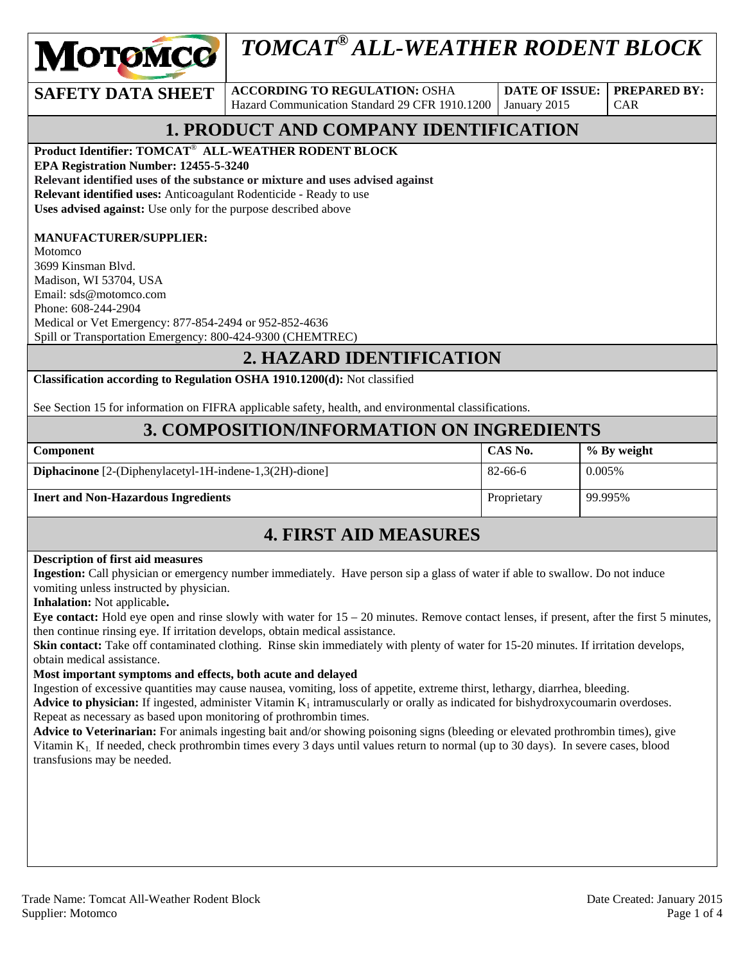

# *TOMCAT® ALL-WEATHER RODENT BLOCK*

**SAFETY DATA SHEET** ACCORDING TO REGULATION: OSHA Hazard Communication Standard 29 CFR 1910.1200

**DATE OF ISSUE:**  January 2015

CAR

**PREPARED BY:** 

# **1. PRODUCT AND COMPANY IDENTIFICATION**

**Product Identifier: TOMCAT**® **ALL-WEATHER RODENT BLOCK** 

**EPA Registration Number: 12455-5-3240** 

**Relevant identified uses of the substance or mixture and uses advised against**

**Relevant identified uses:** Anticoagulant Rodenticide - Ready to use **Uses advised against:** Use only for the purpose described above

#### **MANUFACTURER/SUPPLIER:**

Motomco 3699 Kinsman Blvd. Madison, WI 53704, USA Email: sds@motomco.com Phone: 608-244-2904 Medical or Vet Emergency: 877-854-2494 or 952-852-4636 Spill or Transportation Emergency: 800-424-9300 (CHEMTREC)

### **2. HAZARD IDENTIFICATION**

**Classification according to Regulation OSHA 1910.1200(d):** Not classified

See Section 15 for information on FIFRA applicable safety, health, and environmental classifications.

### **3. COMPOSITION/INFORMATION ON INGREDIENTS**

| <b>Component</b>                                               | CAS No.     | % By weight |
|----------------------------------------------------------------|-------------|-------------|
| <b>Diphacinone</b> [2-(Diphenylacetyl-1H-indene-1,3(2H)-dione] | 82-66-6     | 0.005%      |
| <b>Inert and Non-Hazardous Ingredients</b>                     | Proprietary | 99.995%     |

### **4. FIRST AID MEASURES**

#### **Description of first aid measures**

**Ingestion:** Call physician or emergency number immediately. Have person sip a glass of water if able to swallow. Do not induce vomiting unless instructed by physician.

**Inhalation:** Not applicable**.** 

**Eye contact:** Hold eye open and rinse slowly with water for 15 – 20 minutes. Remove contact lenses, if present, after the first 5 minutes, then continue rinsing eye. If irritation develops, obtain medical assistance.

**Skin contact:** Take off contaminated clothing. Rinse skin immediately with plenty of water for 15-20 minutes. If irritation develops, obtain medical assistance.

#### **Most important symptoms and effects, both acute and delayed**

Ingestion of excessive quantities may cause nausea, vomiting, loss of appetite, extreme thirst, lethargy, diarrhea, bleeding.

Advice to physician: If ingested, administer Vitamin  $K_1$  intramuscularly or orally as indicated for bishydroxycoumarin overdoses. Repeat as necessary as based upon monitoring of prothrombin times.

**Advice to Veterinarian:** For animals ingesting bait and/or showing poisoning signs (bleeding or elevated prothrombin times), give Vitamin  $K_1$ . If needed, check prothrombin times every 3 days until values return to normal (up to 30 days). In severe cases, blood transfusions may be needed.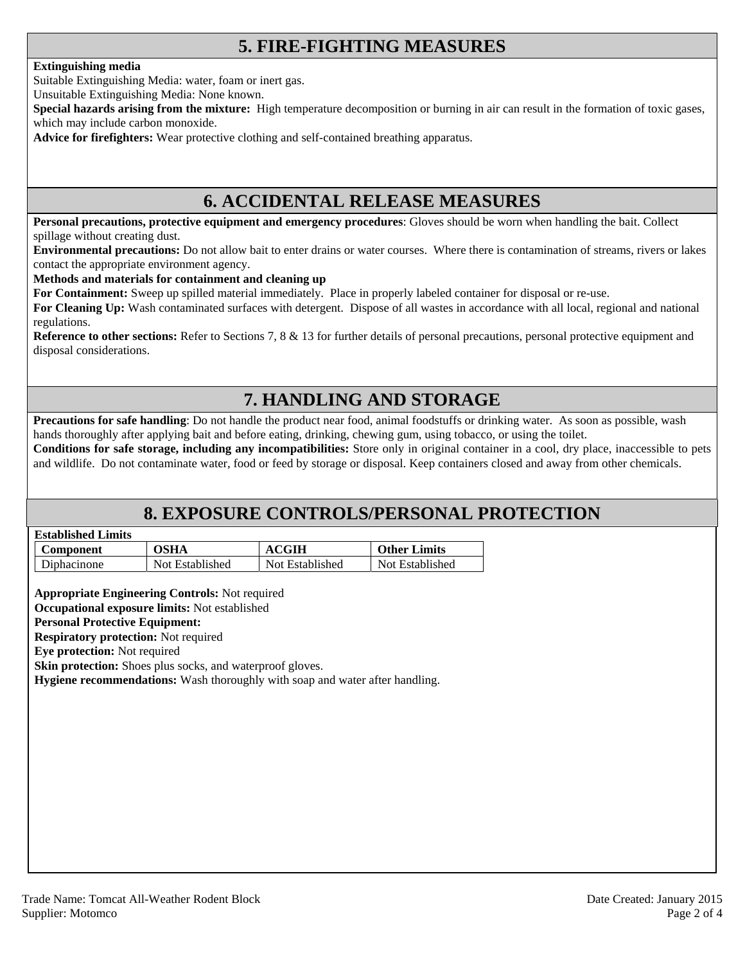# **5. FIRE-FIGHTING MEASURES**

#### **Extinguishing media**

Suitable Extinguishing Media: water, foam or inert gas.

Unsuitable Extinguishing Media: None known.

**Special hazards arising from the mixture:** High temperature decomposition or burning in air can result in the formation of toxic gases, which may include carbon monoxide.

**Advice for firefighters:** Wear protective clothing and self-contained breathing apparatus.

### **6. ACCIDENTAL RELEASE MEASURES**

**Personal precautions, protective equipment and emergency procedures**: Gloves should be worn when handling the bait. Collect spillage without creating dust.

**Environmental precautions:** Do not allow bait to enter drains or water courses. Where there is contamination of streams, rivers or lakes contact the appropriate environment agency.

#### **Methods and materials for containment and cleaning up**

**For Containment:** Sweep up spilled material immediately. Place in properly labeled container for disposal or re-use.

**For Cleaning Up:** Wash contaminated surfaces with detergent. Dispose of all wastes in accordance with all local, regional and national regulations.

**Reference to other sections:** Refer to Sections 7, 8 & 13 for further details of personal precautions, personal protective equipment and disposal considerations.

# **7. HANDLING AND STORAGE**

**Precautions for safe handling**: Do not handle the product near food, animal foodstuffs or drinking water. As soon as possible, wash hands thoroughly after applying bait and before eating, drinking, chewing gum, using tobacco, or using the toilet.

**Conditions for safe storage, including any incompatibilities:** Store only in original container in a cool, dry place, inaccessible to pets and wildlife. Do not contaminate water, food or feed by storage or disposal. Keep containers closed and away from other chemicals.

### **8. EXPOSURE CONTROLS/PERSONAL PROTECTION**

| <b>Established Limits</b> |
|---------------------------|
|                           |

| <b>Component</b> | <b>OSHA</b>     | <b>ACGIH</b>    | <b>Other Limits</b> |
|------------------|-----------------|-----------------|---------------------|
| Diphacinone      | Not Established | Not Established | Not Established     |

**Appropriate Engineering Controls:** Not required

**Occupational exposure limits:** Not established

#### **Personal Protective Equipment:**

**Respiratory protection:** Not required

**Eye protection:** Not required

**Skin protection:** Shoes plus socks, and waterproof gloves.

**Hygiene recommendations:** Wash thoroughly with soap and water after handling.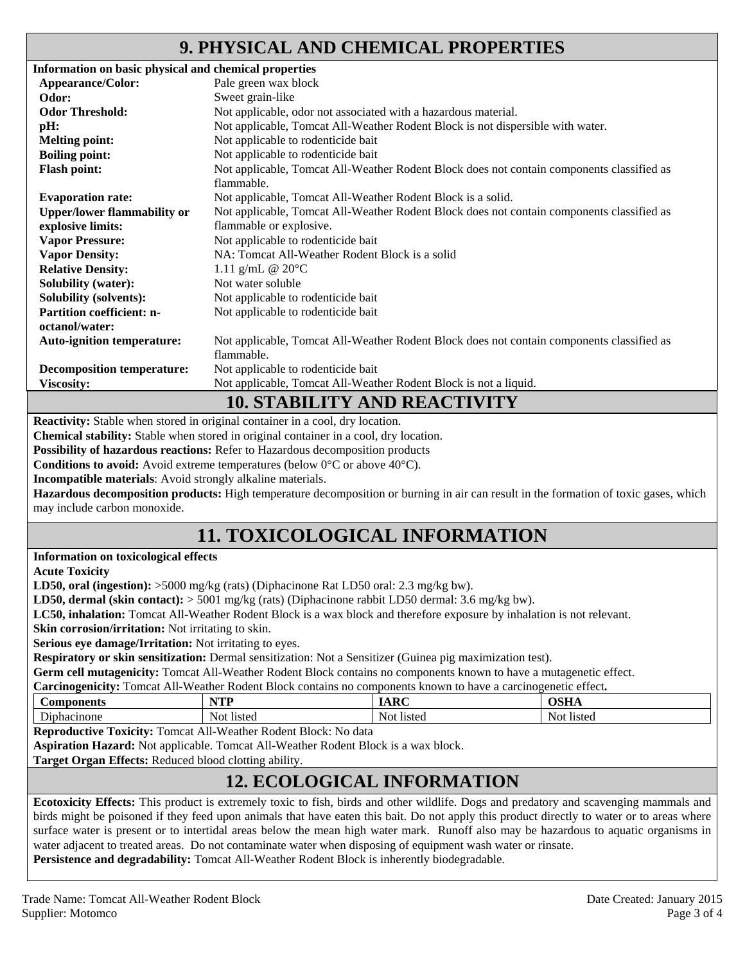# **9. PHYSICAL AND CHEMICAL PROPERTIES**

| Information on basic physical and chemical properties |                                                                                                         |
|-------------------------------------------------------|---------------------------------------------------------------------------------------------------------|
| Appearance/Color:                                     | Pale green wax block                                                                                    |
| Odor:                                                 | Sweet grain-like                                                                                        |
| <b>Odor Threshold:</b>                                | Not applicable, odor not associated with a hazardous material.                                          |
| pH:                                                   | Not applicable, Tomcat All-Weather Rodent Block is not dispersible with water.                          |
| <b>Melting point:</b>                                 | Not applicable to rodenticide bait                                                                      |
| <b>Boiling point:</b>                                 | Not applicable to rodenticide bait                                                                      |
| <b>Flash point:</b>                                   | Not applicable, Tomcat All-Weather Rodent Block does not contain components classified as<br>flammable. |
| <b>Evaporation rate:</b>                              | Not applicable, Tomcat All-Weather Rodent Block is a solid.                                             |
| <b>Upper/lower flammability or</b>                    | Not applicable, Tomcat All-Weather Rodent Block does not contain components classified as               |
| explosive limits:                                     | flammable or explosive.                                                                                 |
| <b>Vapor Pressure:</b>                                | Not applicable to rodenticide bait                                                                      |
| <b>Vapor Density:</b>                                 | NA: Tomcat All-Weather Rodent Block is a solid                                                          |
| <b>Relative Density:</b>                              | 1.11 g/mL $@ 20°C$                                                                                      |
| <b>Solubility (water):</b>                            | Not water soluble                                                                                       |
| <b>Solubility (solvents):</b>                         | Not applicable to rodenticide bait                                                                      |
| <b>Partition coefficient: n-</b>                      | Not applicable to rodenticide bait                                                                      |
| octanol/water:                                        |                                                                                                         |
| <b>Auto-ignition temperature:</b>                     | Not applicable, Tomcat All-Weather Rodent Block does not contain components classified as               |
|                                                       | flammable.                                                                                              |
| <b>Decomposition temperature:</b>                     | Not applicable to rodenticide bait                                                                      |
| <b>Viscosity:</b>                                     | Not applicable, Tomcat All-Weather Rodent Block is not a liquid.                                        |
|                                                       | 10 STADII ITV AND DEACTIVITV                                                                            |

# **10. STABILITY AND REACTIVITY**

**Reactivity:** Stable when stored in original container in a cool, dry location.

**Chemical stability:** Stable when stored in original container in a cool, dry location.

**Possibility of hazardous reactions:** Refer to Hazardous decomposition products

**Conditions to avoid:** Avoid extreme temperatures (below 0°C or above 40°C).

**Incompatible materials**: Avoid strongly alkaline materials.

**Hazardous decomposition products:** High temperature decomposition or burning in air can result in the formation of toxic gases, which may include carbon monoxide.

# **11. TOXICOLOGICAL INFORMATION**

**Information on toxicological effects** 

**Acute Toxicity** 

**LD50, oral (ingestion):** >5000 mg/kg (rats) (Diphacinone Rat LD50 oral: 2.3 mg/kg bw).

**LD50, dermal (skin contact):** > 5001 mg/kg (rats) (Diphacinone rabbit LD50 dermal: 3.6 mg/kg bw).

**LC50, inhalation:** Tomcat All-Weather Rodent Block is a wax block and therefore exposure by inhalation is not relevant.

**Skin corrosion/irritation:** Not irritating to skin.

**Serious eye damage/Irritation:** Not irritating to eyes.

**Respiratory or skin sensitization:** Dermal sensitization: Not a Sensitizer (Guinea pig maximization test).

**Germ cell mutagenicity:** Tomcat All-Weather Rodent Block contains no components known to have a mutagenetic effect.

**Carcinogenicity:** Tomcat All-Weather Rodent Block contains no components known to have a carcinogenetic effect**.** 

| <b>Components</b>   | NTD<br>.             | R<br>                            | $\sim$ $\sim$ $\sim$<br>- 1011 - |
|---------------------|----------------------|----------------------------------|----------------------------------|
| $\sim$<br>phacinone | <b>listed</b><br>Noi | $\bullet$<br>listed<br><b>NO</b> | listeg<br>N<br>v v               |

**Reproductive Toxicity:** Tomcat All-Weather Rodent Block: No data

**Aspiration Hazard:** Not applicable. Tomcat All-Weather Rodent Block is a wax block.

**Target Organ Effects:** Reduced blood clotting ability.

# **12. ECOLOGICAL INFORMATION**

**Ecotoxicity Effects:** This product is extremely toxic to fish, birds and other wildlife. Dogs and predatory and scavenging mammals and birds might be poisoned if they feed upon animals that have eaten this bait. Do not apply this product directly to water or to areas where surface water is present or to intertidal areas below the mean high water mark. Runoff also may be hazardous to aquatic organisms in water adjacent to treated areas. Do not contaminate water when disposing of equipment wash water or rinsate. **Persistence and degradability:** Tomcat All-Weather Rodent Block is inherently biodegradable.